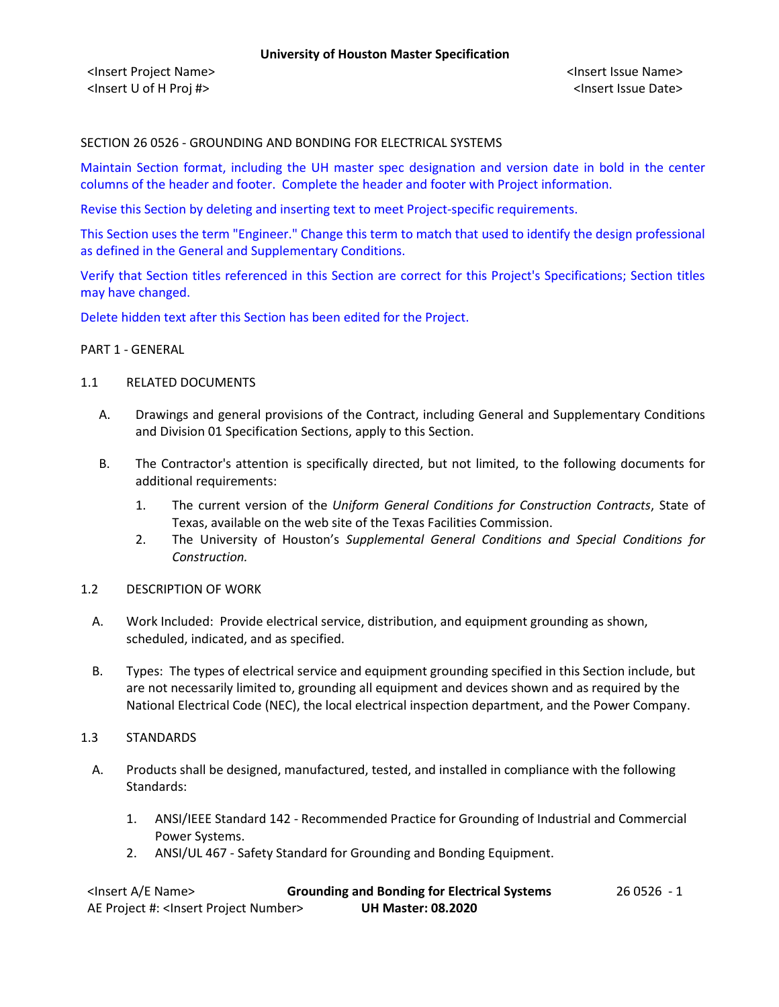# SECTION 26 0526 - GROUNDING AND BONDING FOR ELECTRICAL SYSTEMS

Maintain Section format, including the UH master spec designation and version date in bold in the center columns of the header and footer. Complete the header and footer with Project information.

Revise this Section by deleting and inserting text to meet Project-specific requirements.

This Section uses the term "Engineer." Change this term to match that used to identify the design professional as defined in the General and Supplementary Conditions.

Verify that Section titles referenced in this Section are correct for this Project's Specifications; Section titles may have changed.

Delete hidden text after this Section has been edited for the Project.

#### PART 1 - GENERAL

#### 1.1 RELATED DOCUMENTS

- A. Drawings and general provisions of the Contract, including General and Supplementary Conditions and Division 01 Specification Sections, apply to this Section.
- B. The Contractor's attention is specifically directed, but not limited, to the following documents for additional requirements:
	- 1. The current version of the *Uniform General Conditions for Construction Contracts*, State of Texas, available on the web site of the Texas Facilities Commission.
	- 2. The University of Houston's *Supplemental General Conditions and Special Conditions for Construction.*
- 1.2 DESCRIPTION OF WORK
	- A. Work Included: Provide electrical service, distribution, and equipment grounding as shown, scheduled, indicated, and as specified.
	- B. Types: The types of electrical service and equipment grounding specified in this Section include, but are not necessarily limited to, grounding all equipment and devices shown and as required by the National Electrical Code (NEC), the local electrical inspection department, and the Power Company.

#### 1.3 STANDARDS

- A. Products shall be designed, manufactured, tested, and installed in compliance with the following Standards:
	- 1. ANSI/IEEE Standard 142 Recommended Practice for Grounding of Industrial and Commercial Power Systems.
	- 2. ANSI/UL 467 Safety Standard for Grounding and Bonding Equipment.

| <lnsert a="" e="" name=""></lnsert>                  | <b>Grounding and Bonding for Electrical Systems</b> | 26 0526 -1 |
|------------------------------------------------------|-----------------------------------------------------|------------|
| AE Project #: <lnsert number="" project=""></lnsert> | <b>UH Master: 08.2020</b>                           |            |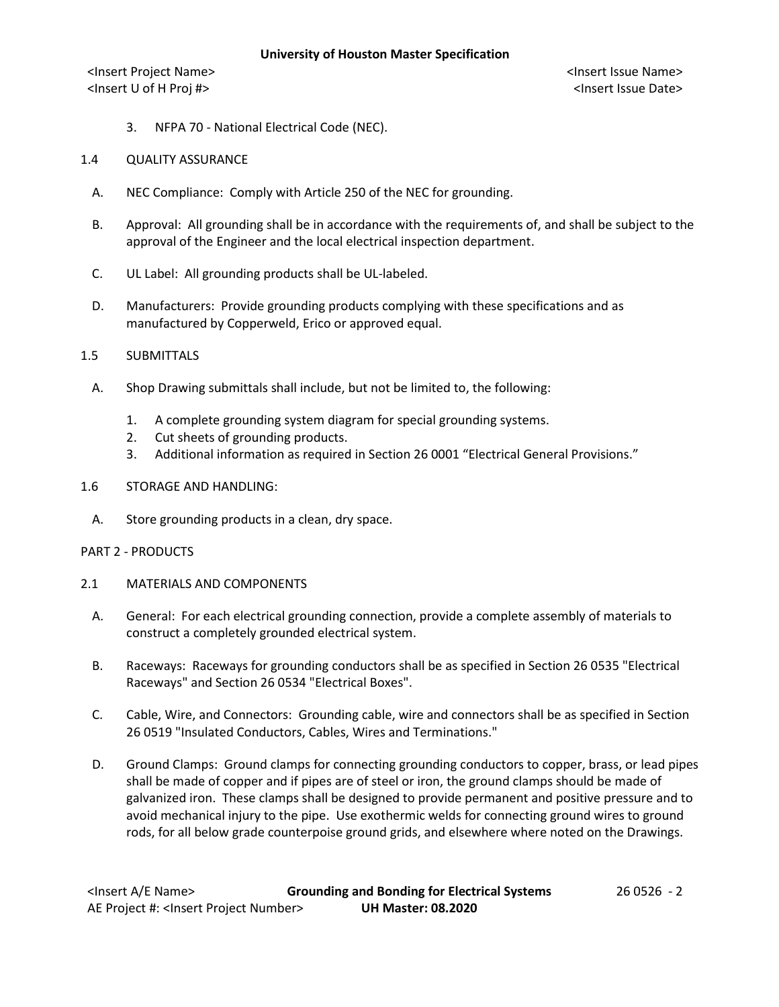<Insert Project Name> <Insert Issue Name> <Insert U of H Proj #> <Insert Issue Date>

3. NFPA 70 - National Electrical Code (NEC).

### 1.4 QUALITY ASSURANCE

- A. NEC Compliance: Comply with Article 250 of the NEC for grounding.
- B. Approval: All grounding shall be in accordance with the requirements of, and shall be subject to the approval of the Engineer and the local electrical inspection department.
- C. UL Label: All grounding products shall be UL-labeled.
- D. Manufacturers: Provide grounding products complying with these specifications and as manufactured by Copperweld, Erico or approved equal.
- 1.5 SUBMITTALS
	- A. Shop Drawing submittals shall include, but not be limited to, the following:
		- 1. A complete grounding system diagram for special grounding systems.
		- 2. Cut sheets of grounding products.
		- 3. Additional information as required in Section 26 0001 "Electrical General Provisions."
- 1.6 STORAGE AND HANDLING:
	- A. Store grounding products in a clean, dry space.

#### PART 2 - PRODUCTS

- 2.1 MATERIALS AND COMPONENTS
	- A. General: For each electrical grounding connection, provide a complete assembly of materials to construct a completely grounded electrical system.
	- B. Raceways: Raceways for grounding conductors shall be as specified in Section 26 0535 "Electrical Raceways" and Section 26 0534 "Electrical Boxes".
	- C. Cable, Wire, and Connectors: Grounding cable, wire and connectors shall be as specified in Section 26 0519 "Insulated Conductors, Cables, Wires and Terminations."
	- D. Ground Clamps: Ground clamps for connecting grounding conductors to copper, brass, or lead pipes shall be made of copper and if pipes are of steel or iron, the ground clamps should be made of galvanized iron. These clamps shall be designed to provide permanent and positive pressure and to avoid mechanical injury to the pipe. Use exothermic welds for connecting ground wires to ground rods, for all below grade counterpoise ground grids, and elsewhere where noted on the Drawings.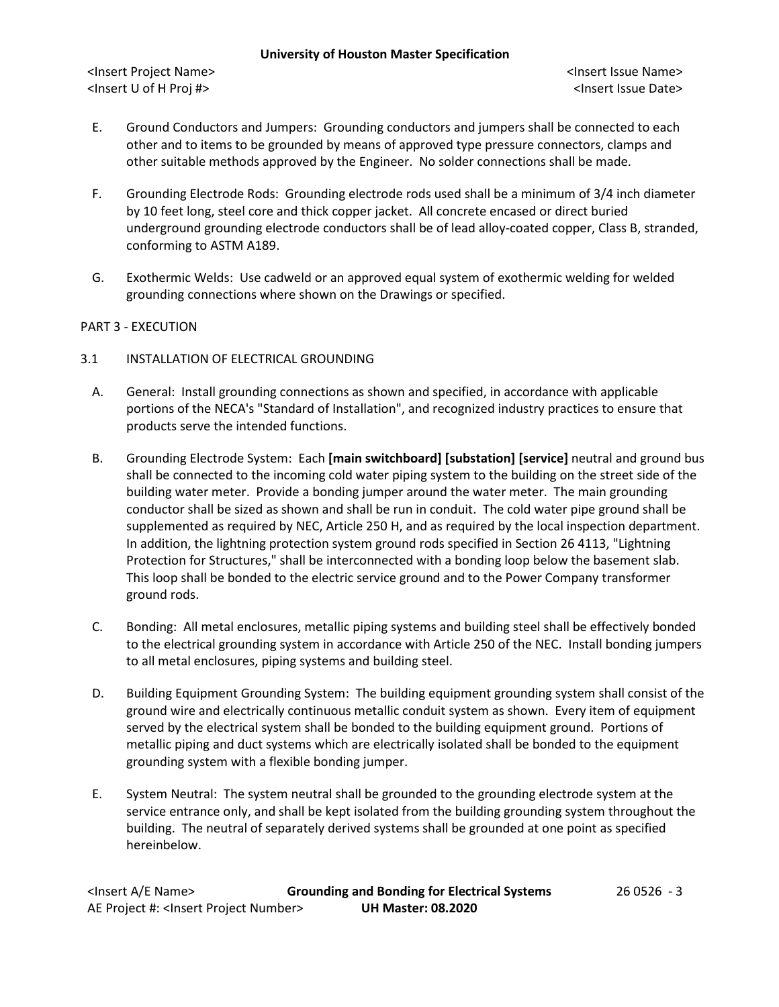### **University of Houston Master Specification**

<Insert Project Name> <Insert Issue Name> <Insert U of H Proj #> <Insert Issue Date>

- E. Ground Conductors and Jumpers: Grounding conductors and jumpers shall be connected to each other and to items to be grounded by means of approved type pressure connectors, clamps and other suitable methods approved by the Engineer. No solder connections shall be made.
- F. Grounding Electrode Rods: Grounding electrode rods used shall be a minimum of 3/4 inch diameter by 10 feet long, steel core and thick copper jacket. All concrete encased or direct buried underground grounding electrode conductors shall be of lead alloy-coated copper, Class B, stranded, conforming to ASTM A189.
- G. Exothermic Welds: Use cadweld or an approved equal system of exothermic welding for welded grounding connections where shown on the Drawings or specified.

# PART 3 - EXECUTION

- 3.1 INSTALLATION OF ELECTRICAL GROUNDING
	- A. General: Install grounding connections as shown and specified, in accordance with applicable portions of the NECA's "Standard of Installation", and recognized industry practices to ensure that products serve the intended functions.
	- B. Grounding Electrode System: Each **[main switchboard] [substation] [service]** neutral and ground bus shall be connected to the incoming cold water piping system to the building on the street side of the building water meter. Provide a bonding jumper around the water meter. The main grounding conductor shall be sized as shown and shall be run in conduit. The cold water pipe ground shall be supplemented as required by NEC, Article 250 H, and as required by the local inspection department. In addition, the lightning protection system ground rods specified in Section 26 4113, "Lightning Protection for Structures," shall be interconnected with a bonding loop below the basement slab. This loop shall be bonded to the electric service ground and to the Power Company transformer ground rods.
	- C. Bonding: All metal enclosures, metallic piping systems and building steel shall be effectively bonded to the electrical grounding system in accordance with Article 250 of the NEC. Install bonding jumpers to all metal enclosures, piping systems and building steel.
	- D. Building Equipment Grounding System: The building equipment grounding system shall consist of the ground wire and electrically continuous metallic conduit system as shown. Every item of equipment served by the electrical system shall be bonded to the building equipment ground. Portions of metallic piping and duct systems which are electrically isolated shall be bonded to the equipment grounding system with a flexible bonding jumper.
	- E. System Neutral: The system neutral shall be grounded to the grounding electrode system at the service entrance only, and shall be kept isolated from the building grounding system throughout the building. The neutral of separately derived systems shall be grounded at one point as specified hereinbelow.

| <lnsert a="" e="" name=""></lnsert>                  | <b>Grounding and Bonding for Electrical Systems</b> | 26 0526 - 3 |
|------------------------------------------------------|-----------------------------------------------------|-------------|
| AE Project #: <lnsert number="" project=""></lnsert> | <b>UH Master: 08.2020</b>                           |             |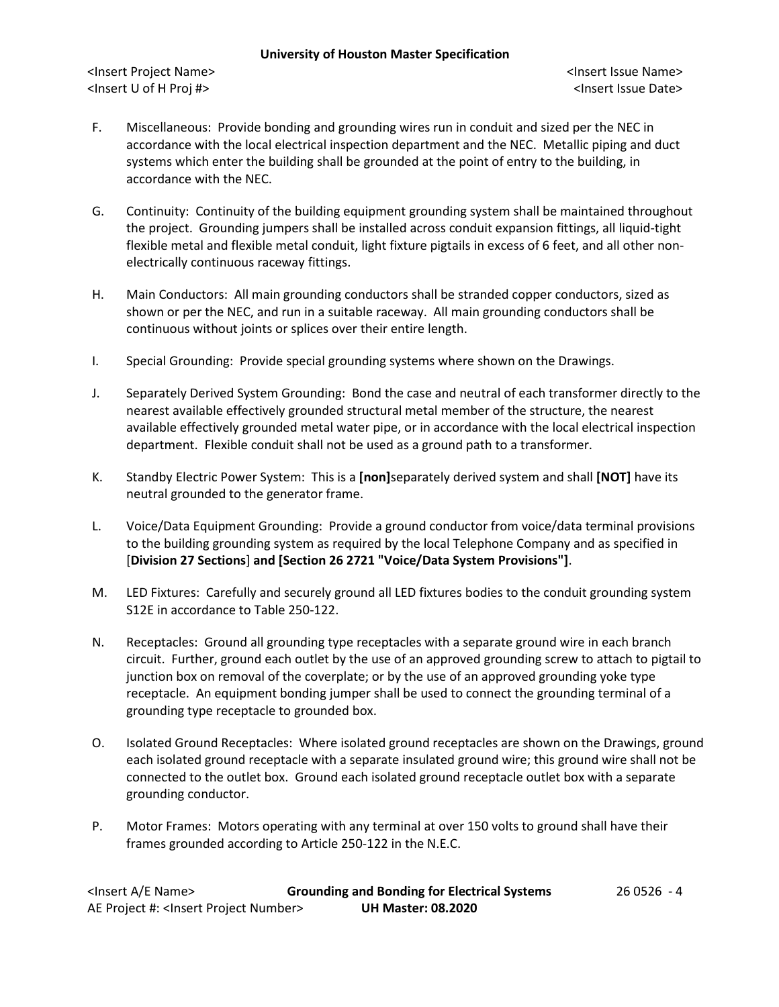### **University of Houston Master Specification**

<Insert Project Name> <Insert Issue Name> <Insert U of H Proj #> <Insert Issue Date>

- F. Miscellaneous: Provide bonding and grounding wires run in conduit and sized per the NEC in accordance with the local electrical inspection department and the NEC. Metallic piping and duct systems which enter the building shall be grounded at the point of entry to the building, in accordance with the NEC.
- G. Continuity: Continuity of the building equipment grounding system shall be maintained throughout the project. Grounding jumpers shall be installed across conduit expansion fittings, all liquid-tight flexible metal and flexible metal conduit, light fixture pigtails in excess of 6 feet, and all other nonelectrically continuous raceway fittings.
- H. Main Conductors: All main grounding conductors shall be stranded copper conductors, sized as shown or per the NEC, and run in a suitable raceway. All main grounding conductors shall be continuous without joints or splices over their entire length.
- I. Special Grounding: Provide special grounding systems where shown on the Drawings.
- J. Separately Derived System Grounding: Bond the case and neutral of each transformer directly to the nearest available effectively grounded structural metal member of the structure, the nearest available effectively grounded metal water pipe, or in accordance with the local electrical inspection department. Flexible conduit shall not be used as a ground path to a transformer.
- K. Standby Electric Power System: This is a **[non]**separately derived system and shall **[NOT]** have its neutral grounded to the generator frame.
- L. Voice/Data Equipment Grounding: Provide a ground conductor from voice/data terminal provisions to the building grounding system as required by the local Telephone Company and as specified in [**Division 27 Sections**] **and [Section 26 2721 "Voice/Data System Provisions"]**.
- M. LED Fixtures: Carefully and securely ground all LED fixtures bodies to the conduit grounding system S12E in accordance to Table 250-122.
- N. Receptacles: Ground all grounding type receptacles with a separate ground wire in each branch circuit. Further, ground each outlet by the use of an approved grounding screw to attach to pigtail to junction box on removal of the coverplate; or by the use of an approved grounding yoke type receptacle. An equipment bonding jumper shall be used to connect the grounding terminal of a grounding type receptacle to grounded box.
- O. Isolated Ground Receptacles: Where isolated ground receptacles are shown on the Drawings, ground each isolated ground receptacle with a separate insulated ground wire; this ground wire shall not be connected to the outlet box. Ground each isolated ground receptacle outlet box with a separate grounding conductor.
- P. Motor Frames: Motors operating with any terminal at over 150 volts to ground shall have their frames grounded according to Article 250-122 in the N.E.C.

| <lnsert a="" e="" name=""></lnsert>                  | <b>Grounding and Bonding for Electrical Systems</b> | 26 0526 - 4 |
|------------------------------------------------------|-----------------------------------------------------|-------------|
| AE Project #: <lnsert number="" project=""></lnsert> | <b>UH Master: 08.2020</b>                           |             |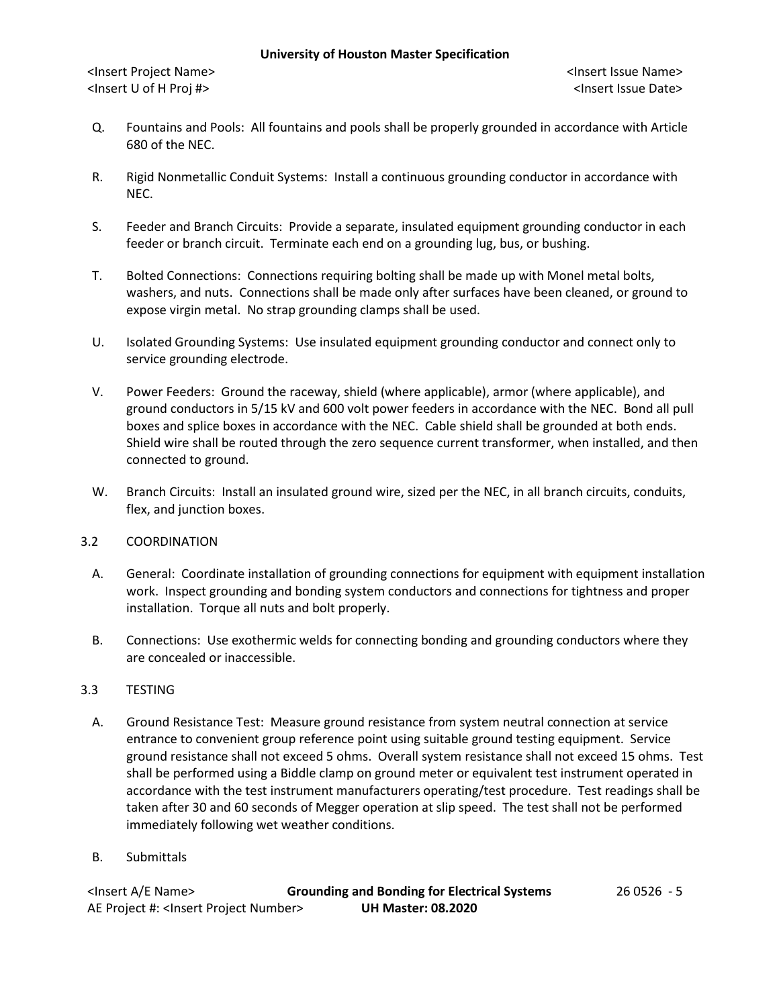- Q. Fountains and Pools: All fountains and pools shall be properly grounded in accordance with Article 680 of the NEC.
- R. Rigid Nonmetallic Conduit Systems: Install a continuous grounding conductor in accordance with NEC.
- S. Feeder and Branch Circuits: Provide a separate, insulated equipment grounding conductor in each feeder or branch circuit. Terminate each end on a grounding lug, bus, or bushing.
- T. Bolted Connections: Connections requiring bolting shall be made up with Monel metal bolts, washers, and nuts. Connections shall be made only after surfaces have been cleaned, or ground to expose virgin metal. No strap grounding clamps shall be used.
- U. Isolated Grounding Systems: Use insulated equipment grounding conductor and connect only to service grounding electrode.
- V. Power Feeders: Ground the raceway, shield (where applicable), armor (where applicable), and ground conductors in 5/15 kV and 600 volt power feeders in accordance with the NEC. Bond all pull boxes and splice boxes in accordance with the NEC. Cable shield shall be grounded at both ends. Shield wire shall be routed through the zero sequence current transformer, when installed, and then connected to ground.
- W. Branch Circuits: Install an insulated ground wire, sized per the NEC, in all branch circuits, conduits, flex, and junction boxes.

# 3.2 COORDINATION

- A. General: Coordinate installation of grounding connections for equipment with equipment installation work. Inspect grounding and bonding system conductors and connections for tightness and proper installation. Torque all nuts and bolt properly.
- B. Connections: Use exothermic welds for connecting bonding and grounding conductors where they are concealed or inaccessible.

# 3.3 TESTING

- A. Ground Resistance Test: Measure ground resistance from system neutral connection at service entrance to convenient group reference point using suitable ground testing equipment. Service ground resistance shall not exceed 5 ohms. Overall system resistance shall not exceed 15 ohms. Test shall be performed using a Biddle clamp on ground meter or equivalent test instrument operated in accordance with the test instrument manufacturers operating/test procedure. Test readings shall be taken after 30 and 60 seconds of Megger operation at slip speed. The test shall not be performed immediately following wet weather conditions.
- B. Submittals

| <lnsert a="" e="" name=""></lnsert>                  | <b>Grounding and Bonding for Electrical Systems</b> | 26 0526 - 5 |
|------------------------------------------------------|-----------------------------------------------------|-------------|
| AE Project #: <lnsert number="" project=""></lnsert> | <b>UH Master: 08.2020</b>                           |             |